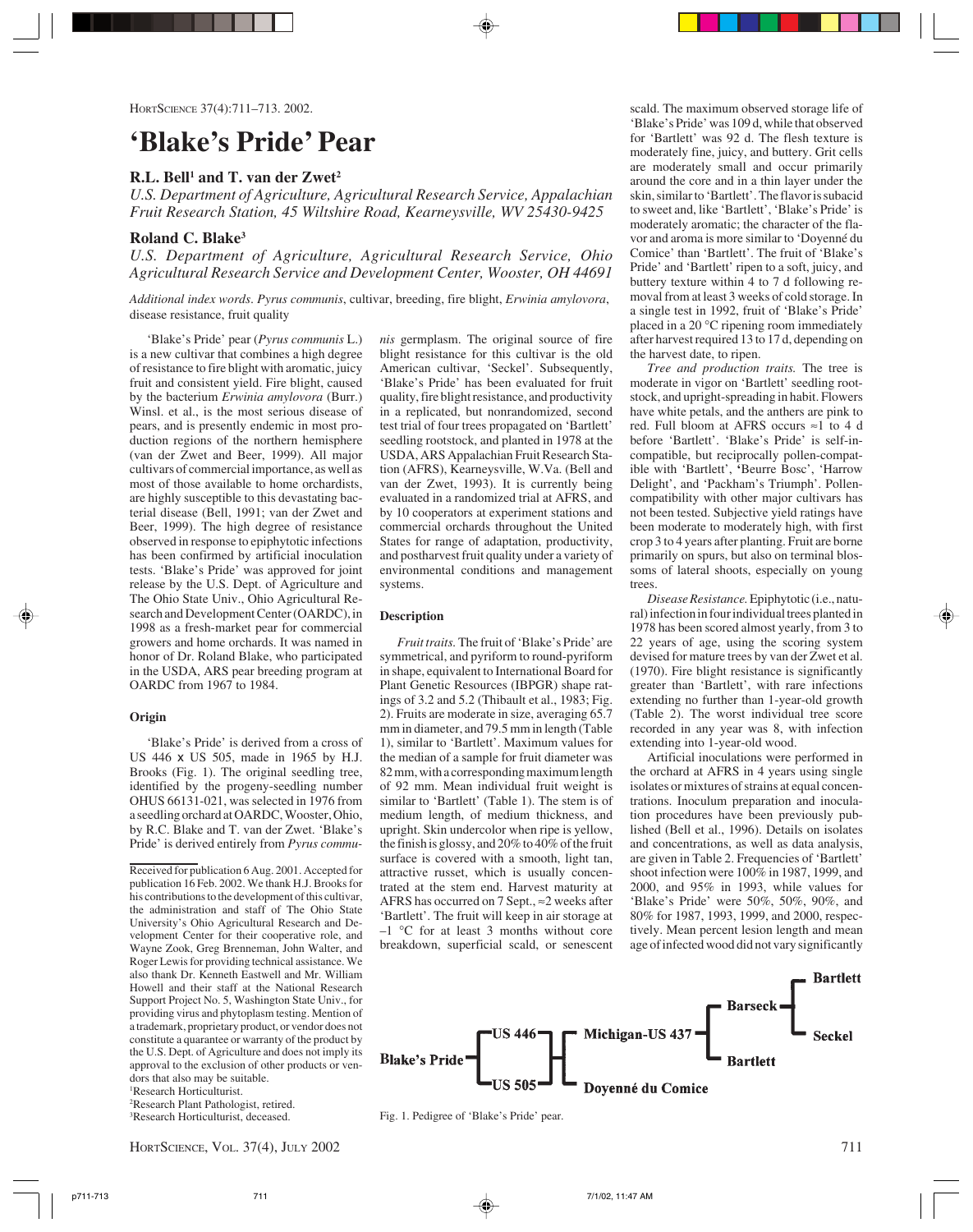# **'Blake's Pride' Pear**

## **R.L. Bell<sup>1</sup> and T. van der Zwet<sup>2</sup>**

*U.S. Department of Agriculture, Agricultural Research Service, Appalachian Fruit Research Station, 45 Wiltshire Road, Kearneysville, WV 25430-9425*

### **Roland C. Blake3**

*U.S. Department of Agriculture, Agricultural Research Service, Ohio Agricultural Research Service and Development Center, Wooster, OH 44691*

*Additional index words*. *Pyrus communis*, cultivar, breeding, fire blight, *Erwinia amylovora*, disease resistance, fruit quality

'Blake's Pride' pear (*Pyrus communis* L.) is a new cultivar that combines a high degree of resistance to fire blight with aromatic, juicy fruit and consistent yield. Fire blight, caused by the bacterium *Erwinia amylovora* (Burr.) Winsl. et al., is the most serious disease of pears, and is presently endemic in most production regions of the northern hemisphere (van der Zwet and Beer, 1999). All major cultivars of commercial importance, as well as most of those available to home orchardists, are highly susceptible to this devastating bacterial disease (Bell, 1991; van der Zwet and Beer, 1999). The high degree of resistance observed in response to epiphytotic infections has been confirmed by artificial inoculation tests. 'Blake's Pride' was approved for joint release by the U.S. Dept. of Agriculture and The Ohio State Univ., Ohio Agricultural Research and Development Center (OARDC), in 1998 as a fresh-market pear for commercial growers and home orchards. It was named in honor of Dr. Roland Blake, who participated in the USDA, ARS pear breeding program at OARDC from 1967 to 1984.

#### **Origin**

'Blake's Pride' is derived from a cross of US 446 x US 505, made in 1965 by H.J. Brooks (Fig. 1). The original seedling tree, identified by the progeny-seedling number OHUS 66131-021, was selected in 1976 from a seedling orchard at OARDC, Wooster, Ohio, by R.C. Blake and T. van der Zwet. 'Blake's Pride' is derived entirely from *Pyrus commu-*

Received for publication 6 Aug. 2001. Accepted for publication 16 Feb. 2002. We thank H.J. Brooks for his contributions to the development of this cultivar, the administration and staff of The Ohio State University's Ohio Agricultural Research and Development Center for their cooperative role, and Wayne Zook, Greg Brenneman, John Walter, and Roger Lewis for providing technical assistance. We also thank Dr. Kenneth Eastwell and Mr. William Howell and their staff at the National Research Support Project No. 5, Washington State Univ., for providing virus and phytoplasm testing. Mention of a trademark, proprietary product, or vendor does not constitute a quarantee or warranty of the product by the U.S. Dept. of Agriculture and does not imply its approval to the exclusion of other products or vendors that also may be suitable. 1 Research Horticulturist.

2 Research Plant Pathologist, retired. 3 Research Horticulturist, deceased.

*nis* germplasm. The original source of fire blight resistance for this cultivar is the old American cultivar, 'Seckel'. Subsequently, 'Blake's Pride' has been evaluated for fruit quality, fire blight resistance, and productivity in a replicated, but nonrandomized, second test trial of four trees propagated on 'Bartlett' seedling rootstock, and planted in 1978 at the USDA, ARS Appalachian Fruit Research Station (AFRS), Kearneysville, W.Va. (Bell and van der Zwet, 1993). It is currently being evaluated in a randomized trial at AFRS, and by 10 cooperators at experiment stations and commercial orchards throughout the United States for range of adaptation, productivity, and postharvest fruit quality under a variety of environmental conditions and management systems.

#### **Description**

*Fruit traits.* The fruit of 'Blake's Pride' are symmetrical, and pyriform to round-pyriform in shape, equivalent to International Board for Plant Genetic Resources (IBPGR) shape ratings of 3.2 and 5.2 (Thibault et al., 1983; Fig. 2). Fruits are moderate in size, averaging 65.7 mm in diameter, and 79.5 mm in length (Table 1), similar to 'Bartlett'. Maximum values for the median of a sample for fruit diameter was 82 mm, with a corresponding maximum length of 92 mm. Mean individual fruit weight is similar to 'Bartlett' (Table 1). The stem is of medium length, of medium thickness, and upright. Skin undercolor when ripe is yellow, the finish is glossy, and 20% to 40% of the fruit surface is covered with a smooth, light tan, attractive russet, which is usually concentrated at the stem end. Harvest maturity at AFRS has occurred on 7 Sept., ≈2 weeks after 'Bartlett'. The fruit will keep in air storage at  $-1$  °C for at least 3 months without core breakdown, superficial scald, or senescent scald. The maximum observed storage life of 'Blake's Pride' was 109 d, while that observed for 'Bartlett' was 92 d. The flesh texture is moderately fine, juicy, and buttery. Grit cells are moderately small and occur primarily around the core and in a thin layer under the skin, similar to 'Bartlett'. The flavor is subacid to sweet and, like 'Bartlett', 'Blake's Pride' is moderately aromatic; the character of the flavor and aroma is more similar to 'Doyenné du Comice' than 'Bartlett'. The fruit of 'Blake's Pride' and 'Bartlett' ripen to a soft, juicy, and buttery texture within 4 to 7 d following removal from at least 3 weeks of cold storage. In a single test in 1992, fruit of 'Blake's Pride' placed in a 20 °C ripening room immediately after harvest required 13 to 17 d, depending on the harvest date, to ripen.

*Tree and production traits.* The tree is moderate in vigor on 'Bartlett' seedling rootstock, and upright-spreading in habit. Flowers have white petals, and the anthers are pink to red. Full bloom at AFRS occurs ≈1 to 4 d before 'Bartlett'. 'Blake's Pride' is self-incompatible, but reciprocally pollen-compatible with 'Bartlett', **'**Beurre Bosc', 'Harrow Delight', and 'Packham's Triumph'. Pollencompatibility with other major cultivars has not been tested. Subjective yield ratings have been moderate to moderately high, with first crop 3 to 4 years after planting. Fruit are borne primarily on spurs, but also on terminal blossoms of lateral shoots, especially on young trees.

*Disease Resistance.* Epiphytotic (i.e., natural) infection in four individual trees planted in 1978 has been scored almost yearly, from 3 to 22 years of age, using the scoring system devised for mature trees by van der Zwet et al. (1970). Fire blight resistance is significantly greater than 'Bartlett', with rare infections extending no further than 1-year-old growth (Table 2). The worst individual tree score recorded in any year was 8, with infection extending into 1-year-old wood.

Artificial inoculations were performed in the orchard at AFRS in 4 years using single isolates or mixtures of strains at equal concentrations. Inoculum preparation and inoculation procedures have been previously published (Bell et al., 1996). Details on isolates and concentrations, as well as data analysis, are given in Table 2. Frequencies of 'Bartlett' shoot infection were 100% in 1987, 1999, and 2000, and 95% in 1993, while values for 'Blake's Pride' were 50%, 50%, 90%, and 80% for 1987, 1993, 1999, and 2000, respectively. Mean percent lesion length and mean age of infected wood did not vary significantly



Fig. 1. Pedigree of 'Blake's Pride' pear.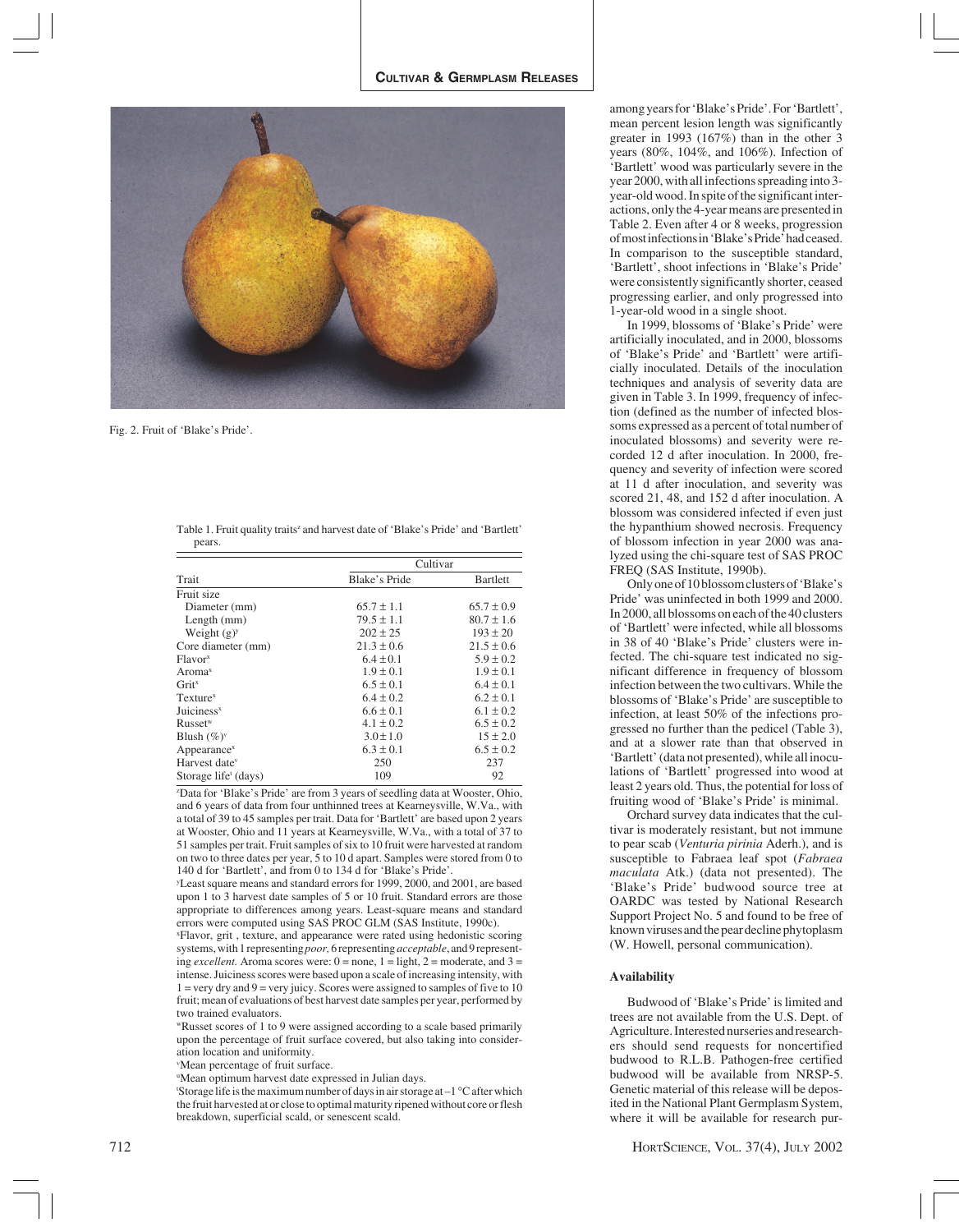

Fig. 2. Fruit of 'Blake's Pride'.

| Table 1. Fruit quality traits <sup>z</sup> and harvest date of 'Blake's Pride' and 'Bartlett' |  |
|-----------------------------------------------------------------------------------------------|--|
| pears.                                                                                        |  |

|                                  | Cultivar       |                |  |
|----------------------------------|----------------|----------------|--|
| Trait                            | Blake's Pride  | Bartlett       |  |
| Fruit size                       |                |                |  |
| Diameter (mm)                    | $65.7 \pm 1.1$ | $65.7 \pm 0.9$ |  |
| Length $(mm)$                    | $79.5 \pm 1.1$ | $80.7 \pm 1.6$ |  |
| Weight $(g)y$                    | $202 \pm 25$   | $193 \pm 20$   |  |
| Core diameter (mm)               | $21.3 \pm 0.6$ | $21.5 \pm 0.6$ |  |
| Flavor <sup>x</sup>              | $6.4 \pm 0.1$  | $5.9 \pm 0.2$  |  |
| Aroma <sup>x</sup>               | $1.9 \pm 0.1$  | $1.9 \pm 0.1$  |  |
| Grit <sup>x</sup>                | $6.5 \pm 0.1$  | $6.4 \pm 0.1$  |  |
| Texture <sup>x</sup>             | $6.4 \pm 0.2$  | $6.2 \pm 0.1$  |  |
| Juiciness $x$                    | $6.6 \pm 0.1$  | $6.1 \pm 0.2$  |  |
| Russet <sup>w</sup>              | $4.1 \pm 0.2$  | $6.5 \pm 0.2$  |  |
| Blush $(\%)^{\vee}$              | $3.0 \pm 1.0$  | $15 \pm 2.0$   |  |
| Appearance <sup>x</sup>          | $6.3 \pm 0.1$  | $6.5 \pm 0.2$  |  |
| Harvest date <sup>v</sup>        | 250            | 237            |  |
| Storage life <sup>t</sup> (days) | 109            | 92             |  |

z Data for 'Blake's Pride' are from 3 years of seedling data at Wooster, Ohio, and 6 years of data from four unthinned trees at Kearneysville, W.Va., with a total of 39 to 45 samples per trait. Data for 'Bartlett' are based upon 2 years at Wooster, Ohio and 11 years at Kearneysville, W.Va., with a total of 37 to 51 samples per trait. Fruit samples of six to 10 fruit were harvested at random on two to three dates per year, 5 to 10 d apart. Samples were stored from 0 to 140 d for 'Bartlett', and from 0 to 134 d for 'Blake's Pride'.

y Least square means and standard errors for 1999, 2000, and 2001, are based upon 1 to 3 harvest date samples of 5 or 10 fruit. Standard errors are those appropriate to differences among years. Least-square means and standard errors were computed using SAS PROC GLM (SAS Institute, 1990c).

x Flavor, grit , texture, and appearance were rated using hedonistic scoring systems, with 1 representing *poor,* 6 representing *acceptable*, and 9 representing *excellent*. Aroma scores were:  $0 =$  none,  $1 =$  light,  $2 =$  moderate, and  $3 =$ intense. Juiciness scores were based upon a scale of increasing intensity, with  $1 = \text{very dry and } 9 = \text{very juice}$ . Scores were assigned to samples of five to 10 fruit; mean of evaluations of best harvest date samples per year, performed by two trained evaluators.

wRusset scores of 1 to 9 were assigned according to a scale based primarily upon the percentage of fruit surface covered, but also taking into consideration location and uniformity.

v Mean percentage of fruit surface.

u Mean optimum harvest date expressed in Julian days.

'Storage life is the maximum number of days in air storage at  $-1$  °C after which the fruit harvested at or close to optimal maturity ripened without core or flesh breakdown, superficial scald, or senescent scald.

among years for 'Blake's Pride'. For 'Bartlett', mean percent lesion length was significantly greater in 1993 (167%) than in the other 3 years (80%, 104%, and 106%). Infection of 'Bartlett' wood was particularly severe in the year 2000, with all infections spreading into 3 year-old wood. In spite of the significant interactions, only the 4-year means are presented in Table 2. Even after 4 or 8 weeks, progression of most infections in 'Blake's Pride' had ceased. In comparison to the susceptible standard, 'Bartlett', shoot infections in 'Blake's Pride' were consistently significantly shorter, ceased progressing earlier, and only progressed into 1-year-old wood in a single shoot.

In 1999, blossoms of 'Blake's Pride' were artificially inoculated, and in 2000, blossoms of 'Blake's Pride' and 'Bartlett' were artificially inoculated. Details of the inoculation techniques and analysis of severity data are given in Table 3. In 1999, frequency of infection (defined as the number of infected blossoms expressed as a percent of total number of inoculated blossoms) and severity were recorded 12 d after inoculation. In 2000, frequency and severity of infection were scored at 11 d after inoculation, and severity was scored 21, 48, and 152 d after inoculation. A blossom was considered infected if even just the hypanthium showed necrosis. Frequency of blossom infection in year 2000 was analyzed using the chi-square test of SAS PROC FREQ (SAS Institute, 1990b).

Only one of 10 blossom clusters of 'Blake's Pride' was uninfected in both 1999 and 2000. In 2000, all blossoms on each of the 40 clusters of 'Bartlett' were infected, while all blossoms in 38 of 40 'Blake's Pride' clusters were infected. The chi-square test indicated no significant difference in frequency of blossom infection between the two cultivars. While the blossoms of 'Blake's Pride' are susceptible to infection, at least 50% of the infections progressed no further than the pedicel (Table 3), and at a slower rate than that observed in 'Bartlett' (data not presented), while all inoculations of 'Bartlett' progressed into wood at least 2 years old. Thus, the potential for loss of fruiting wood of 'Blake's Pride' is minimal.

Orchard survey data indicates that the cultivar is moderately resistant, but not immune to pear scab (*Venturia pirinia* Aderh.), and is susceptible to Fabraea leaf spot (*Fabraea maculata* Atk.) (data not presented). The 'Blake's Pride' budwood source tree at OARDC was tested by National Research Support Project No. 5 and found to be free of known viruses and the pear decline phytoplasm (W. Howell, personal communication).

#### **Availability**

Budwood of 'Blake's Pride' is limited and trees are not available from the U.S. Dept. of Agriculture. Interested nurseries and researchers should send requests for noncertified budwood to R.L.B. Pathogen-free certified budwood will be available from NRSP-5. Genetic material of this release will be deposited in the National Plant Germplasm System, where it will be available for research pur-